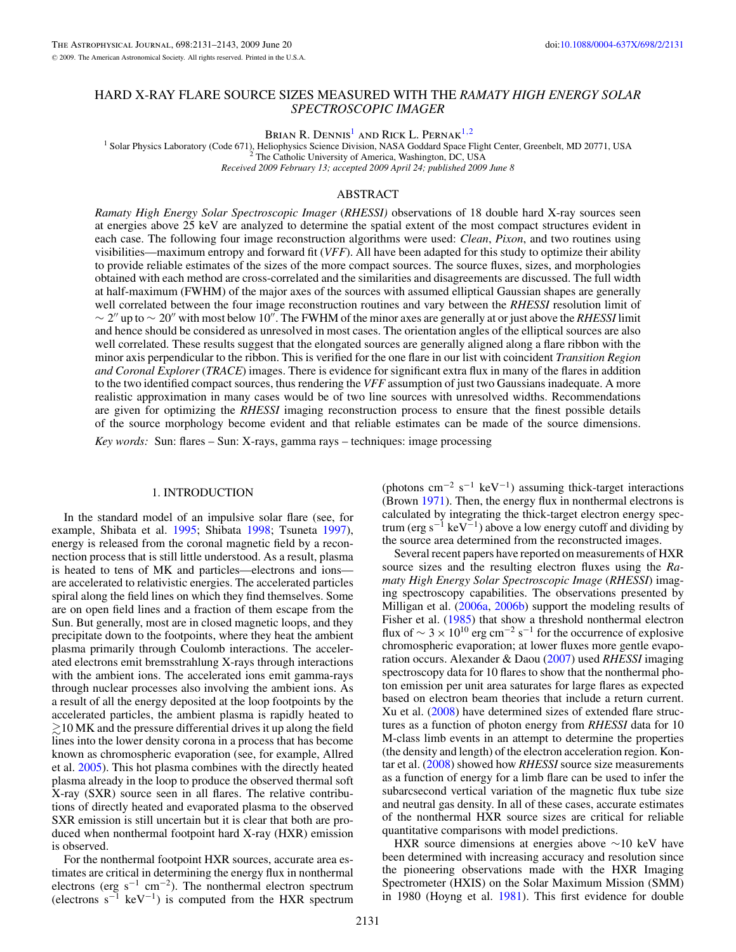# HARD X-RAY FLARE SOURCE SIZES MEASURED WITH THE *RAMATY HIGH ENERGY SOLAR SPECTROSCOPIC IMAGER*

Brian R. Dennis<sup>1</sup> and Rick L. Pernak<sup>1,2</sup>

<sup>1</sup> Solar Physics Laboratory (Code 671), Heliophysics Science Division, NASA Goddard Space Flight Center, Greenbelt, MD 20771, USA <sup>2</sup> The Catholic University of America, Washington, DC, USA *Received 2009 February 13; accepted 2009 April 24; published 2009 June 8*

# ABSTRACT

*Ramaty High Energy Solar Spectroscopic Imager* (*RHESSI)* observations of 18 double hard X-ray sources seen at energies above 25 keV are analyzed to determine the spatial extent of the most compact structures evident in each case. The following four image reconstruction algorithms were used: *Clean*, *Pixon*, and two routines using visibilities—maximum entropy and forward fit (*VFF*). All have been adapted for this study to optimize their ability to provide reliable estimates of the sizes of the more compact sources. The source fluxes, sizes, and morphologies obtained with each method are cross-correlated and the similarities and disagreements are discussed. The full width at half-maximum (FWHM) of the major axes of the sources with assumed elliptical Gaussian shapes are generally well correlated between the four image reconstruction routines and vary between the *RHESSI* resolution limit of  $\sim$  2" up to  $\sim$  20" with most below 10". The FWHM of the minor axes are generally at or just above the *RHESSI* limit and hence should be considered as unresolved in most cases. The orientation angles of the elliptical sources are also well correlated. These results suggest that the elongated sources are generally aligned along a flare ribbon with the minor axis perpendicular to the ribbon. This is verified for the one flare in our list with coincident *Transition Region and Coronal Explorer* (*TRACE*) images. There is evidence for significant extra flux in many of the flares in addition to the two identified compact sources, thus rendering the *VFF* assumption of just two Gaussians inadequate. A more realistic approximation in many cases would be of two line sources with unresolved widths. Recommendations are given for optimizing the *RHESSI* imaging reconstruction process to ensure that the finest possible details of the source morphology become evident and that reliable estimates can be made of the source dimensions.

*Key words:* Sun: flares – Sun: X-rays, gamma rays – techniques: image processing

# 1. INTRODUCTION

In the standard model of an impulsive solar flare (see, for example, Shibata et al. [1995;](#page-12-0) Shibata [1998;](#page-12-0) Tsuneta [1997\)](#page-12-0), energy is released from the coronal magnetic field by a reconnection process that is still little understood. As a result, plasma is heated to tens of MK and particles—electrons and ions are accelerated to relativistic energies. The accelerated particles spiral along the field lines on which they find themselves. Some are on open field lines and a fraction of them escape from the Sun. But generally, most are in closed magnetic loops, and they precipitate down to the footpoints, where they heat the ambient plasma primarily through Coulomb interactions. The accelerated electrons emit bremsstrahlung X-rays through interactions with the ambient ions. The accelerated ions emit gamma-rays through nuclear processes also involving the ambient ions. As a result of all the energy deposited at the loop footpoints by the accelerated particles, the ambient plasma is rapidly heated to  $\gtrsim$  10 MK and the pressure differential drives it up along the field lines into the lower density corona in a process that has become known as chromospheric evaporation (see, for example, Allred et al. [2005\)](#page-11-0). This hot plasma combines with the directly heated plasma already in the loop to produce the observed thermal soft X-ray (SXR) source seen in all flares. The relative contributions of directly heated and evaporated plasma to the observed SXR emission is still uncertain but it is clear that both are produced when nonthermal footpoint hard X-ray (HXR) emission is observed.

For the nonthermal footpoint HXR sources, accurate area estimates are critical in determining the energy flux in nonthermal electrons (erg s<sup>-1</sup> cm<sup>-2</sup>). The nonthermal electron spectrum (electrons  $s^{-1}$  keV<sup>-1</sup>) is computed from the HXR spectrum (photons cm<sup>-2</sup> s<sup>-1</sup> keV<sup>-1</sup>) assuming thick-target interactions (Brown [1971\)](#page-11-0). Then, the energy flux in nonthermal electrons is calculated by integrating the thick-target electron energy spectrum (erg s<sup>-1</sup> keV<sup>-1</sup>) above a low energy cutoff and dividing by the source area determined from the reconstructed images.

Several recent papers have reported on measurements of HXR source sizes and the resulting electron fluxes using the *Ramaty High Energy Solar Spectroscopic Image* (*RHESSI*) imaging spectroscopy capabilities. The observations presented by Milligan et al. [\(2006a,](#page-12-0) [2006b\)](#page-12-0) support the modeling results of Fisher et al. [\(1985\)](#page-11-0) that show a threshold nonthermal electron flux of  $\sim 3 \times 10^{10}$  erg cm<sup>-2</sup> s<sup>-1</sup> for the occurrence of explosive chromospheric evaporation; at lower fluxes more gentle evaporation occurs. Alexander & Daou [\(2007\)](#page-11-0) used *RHESSI* imaging spectroscopy data for 10 flares to show that the nonthermal photon emission per unit area saturates for large flares as expected based on electron beam theories that include a return current. Xu et al. [\(2008\)](#page-12-0) have determined sizes of extended flare structures as a function of photon energy from *RHESSI* data for 10 M-class limb events in an attempt to determine the properties (the density and length) of the electron acceleration region. Kontar et al. [\(2008\)](#page-12-0) showed how *RHESSI* source size measurements as a function of energy for a limb flare can be used to infer the subarcsecond vertical variation of the magnetic flux tube size and neutral gas density. In all of these cases, accurate estimates of the nonthermal HXR source sizes are critical for reliable quantitative comparisons with model predictions.

HXR source dimensions at energies above ∼10 keV have been determined with increasing accuracy and resolution since the pioneering observations made with the HXR Imaging Spectrometer (HXIS) on the Solar Maximum Mission (SMM) in 1980 (Hoyng et al. [1981\)](#page-11-0). This first evidence for double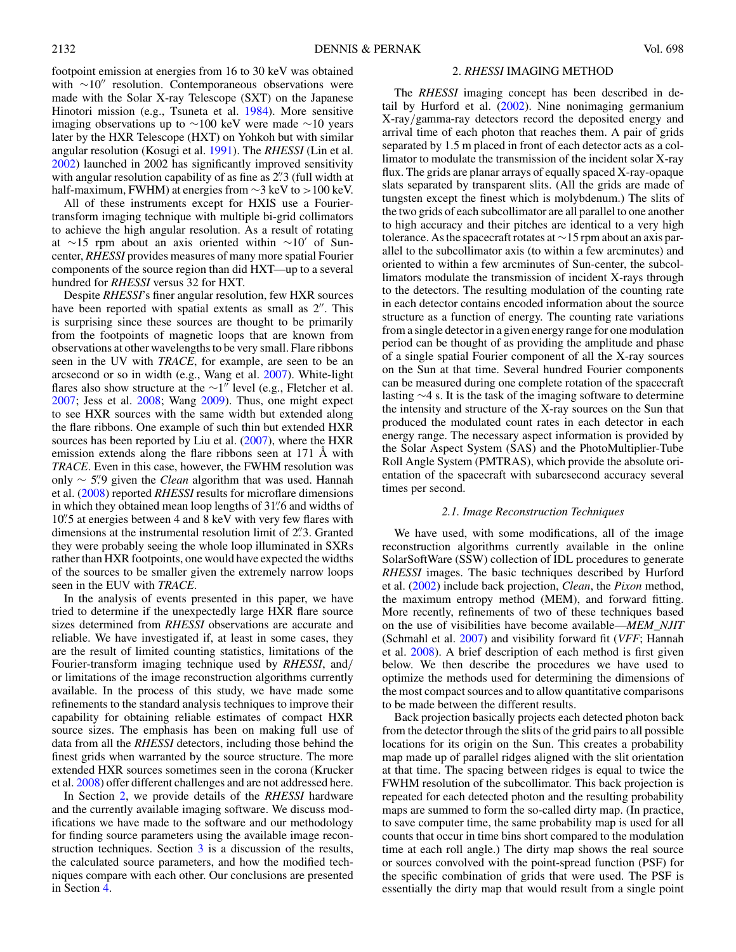footpoint emission at energies from 16 to 30 keV was obtained with  $\sim 10''$  resolution. Contemporaneous observations were made with the Solar X-ray Telescope (SXT) on the Japanese Hinotori mission (e.g., Tsuneta et al. [1984\)](#page-12-0). More sensitive imaging observations up to ∼100 keV were made ∼10 years later by the HXR Telescope (HXT) on Yohkoh but with similar angular resolution (Kosugi et al. [1991\)](#page-12-0). The *RHESSI* (Lin et al. [2002\)](#page-12-0) launched in 2002 has significantly improved sensitivity with angular resolution capability of as fine as 2*.* 3 (full width at half-maximum, FWHM) at energies from ∼3 keV to *>*100 keV.

All of these instruments except for HXIS use a Fouriertransform imaging technique with multiple bi-grid collimators to achieve the high angular resolution. As a result of rotating at ∼15 rpm about an axis oriented within ∼10 of Suncenter, *RHESSI* provides measures of many more spatial Fourier components of the source region than did HXT—up to a several hundred for *RHESSI* versus 32 for HXT.

Despite *RHESSI*'s finer angular resolution, few HXR sources have been reported with spatial extents as small as  $2''$ . This is surprising since these sources are thought to be primarily from the footpoints of magnetic loops that are known from observations at other wavelengths to be very small. Flare ribbons seen in the UV with *TRACE*, for example, are seen to be an arcsecond or so in width (e.g., Wang et al. [2007\)](#page-12-0). White-light flares also show structure at the  $\sim$ 1" level (e.g., Fletcher et al. [2007;](#page-11-0) Jess et al. [2008;](#page-12-0) Wang [2009\)](#page-12-0). Thus, one might expect to see HXR sources with the same width but extended along the flare ribbons. One example of such thin but extended HXR sources has been reported by Liu et al. [\(2007\)](#page-12-0), where the HXR emission extends along the flare ribbons seen at 171 Å with *TRACE*. Even in this case, however, the FWHM resolution was only ∼ 5*.* 9 given the *Clean* algorithm that was used. Hannah et al. [\(2008\)](#page-11-0) reported *RHESSI* results for microflare dimensions in which they obtained mean loop lengths of 31*.* 6 and widths of 10*.* 5 at energies between 4 and 8 keV with very few flares with dimensions at the instrumental resolution limit of 2*.* 3. Granted they were probably seeing the whole loop illuminated in SXRs rather than HXR footpoints, one would have expected the widths of the sources to be smaller given the extremely narrow loops seen in the EUV with *TRACE*.

In the analysis of events presented in this paper, we have tried to determine if the unexpectedly large HXR flare source sizes determined from *RHESSI* observations are accurate and reliable. We have investigated if, at least in some cases, they are the result of limited counting statistics, limitations of the Fourier-transform imaging technique used by *RHESSI*, and*/* or limitations of the image reconstruction algorithms currently available. In the process of this study, we have made some refinements to the standard analysis techniques to improve their capability for obtaining reliable estimates of compact HXR source sizes. The emphasis has been on making full use of data from all the *RHESSI* detectors, including those behind the finest grids when warranted by the source structure. The more extended HXR sources sometimes seen in the corona (Krucker et al. [2008\)](#page-12-0) offer different challenges and are not addressed here.

In Section 2, we provide details of the *RHESSI* hardware and the currently available imaging software. We discuss modifications we have made to the software and our methodology for finding source parameters using the available image reconstruction techniques. Section [3](#page-4-0) is a discussion of the results, the calculated source parameters, and how the modified techniques compare with each other. Our conclusions are presented in Section [4.](#page-9-0)

#### 2. *RHESSI* IMAGING METHOD

The *RHESSI* imaging concept has been described in detail by Hurford et al. [\(2002\)](#page-11-0). Nine nonimaging germanium X-ray*/*gamma-ray detectors record the deposited energy and arrival time of each photon that reaches them. A pair of grids separated by 1.5 m placed in front of each detector acts as a collimator to modulate the transmission of the incident solar X-ray flux. The grids are planar arrays of equally spaced X-ray-opaque slats separated by transparent slits. (All the grids are made of tungsten except the finest which is molybdenum.) The slits of the two grids of each subcollimator are all parallel to one another to high accuracy and their pitches are identical to a very high tolerance. As the spacecraft rotates at ∼15 rpm about an axis parallel to the subcollimator axis (to within a few arcminutes) and oriented to within a few arcminutes of Sun-center, the subcollimators modulate the transmission of incident X-rays through to the detectors. The resulting modulation of the counting rate in each detector contains encoded information about the source structure as a function of energy. The counting rate variations from a single detector in a given energy range for one modulation period can be thought of as providing the amplitude and phase of a single spatial Fourier component of all the X-ray sources on the Sun at that time. Several hundred Fourier components can be measured during one complete rotation of the spacecraft lasting ∼4 s. It is the task of the imaging software to determine the intensity and structure of the X-ray sources on the Sun that produced the modulated count rates in each detector in each energy range. The necessary aspect information is provided by the Solar Aspect System (SAS) and the PhotoMultiplier-Tube Roll Angle System (PMTRAS), which provide the absolute orientation of the spacecraft with subarcsecond accuracy several times per second.

#### *2.1. Image Reconstruction Techniques*

We have used, with some modifications, all of the image reconstruction algorithms currently available in the online SolarSoftWare (SSW) collection of IDL procedures to generate *RHESSI* images. The basic techniques described by Hurford et al. [\(2002\)](#page-11-0) include back projection, *Clean*, the *Pixon* method, the maximum entropy method (MEM), and forward fitting. More recently, refinements of two of these techniques based on the use of visibilities have become available—*MEM\_NJIT* (Schmahl et al. [2007\)](#page-12-0) and visibility forward fit (*VFF*; Hannah et al. [2008\)](#page-11-0). A brief description of each method is first given below. We then describe the procedures we have used to optimize the methods used for determining the dimensions of the most compact sources and to allow quantitative comparisons to be made between the different results.

Back projection basically projects each detected photon back from the detector through the slits of the grid pairs to all possible locations for its origin on the Sun. This creates a probability map made up of parallel ridges aligned with the slit orientation at that time. The spacing between ridges is equal to twice the FWHM resolution of the subcollimator. This back projection is repeated for each detected photon and the resulting probability maps are summed to form the so-called dirty map. (In practice, to save computer time, the same probability map is used for all counts that occur in time bins short compared to the modulation time at each roll angle.) The dirty map shows the real source or sources convolved with the point-spread function (PSF) for the specific combination of grids that were used. The PSF is essentially the dirty map that would result from a single point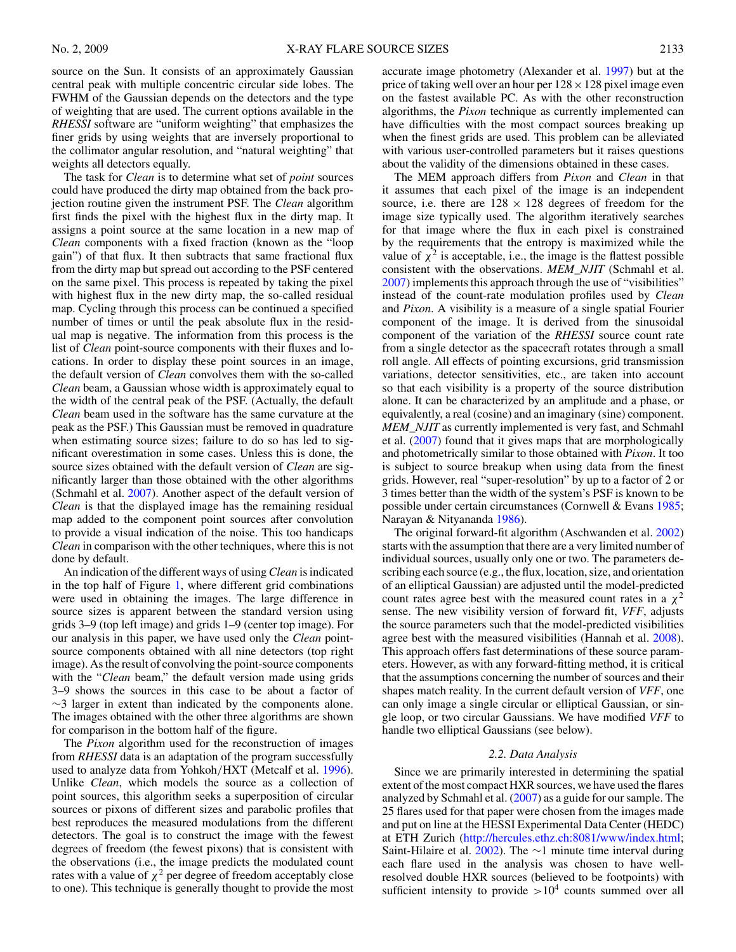source on the Sun. It consists of an approximately Gaussian central peak with multiple concentric circular side lobes. The FWHM of the Gaussian depends on the detectors and the type of weighting that are used. The current options available in the *RHESSI* software are "uniform weighting" that emphasizes the finer grids by using weights that are inversely proportional to the collimator angular resolution, and "natural weighting" that weights all detectors equally.

The task for *Clean* is to determine what set of *point* sources could have produced the dirty map obtained from the back projection routine given the instrument PSF. The *Clean* algorithm first finds the pixel with the highest flux in the dirty map. It assigns a point source at the same location in a new map of *Clean* components with a fixed fraction (known as the "loop gain") of that flux. It then subtracts that same fractional flux from the dirty map but spread out according to the PSF centered on the same pixel. This process is repeated by taking the pixel with highest flux in the new dirty map, the so-called residual map. Cycling through this process can be continued a specified number of times or until the peak absolute flux in the residual map is negative. The information from this process is the list of *Clean* point-source components with their fluxes and locations. In order to display these point sources in an image, the default version of *Clean* convolves them with the so-called *Clean* beam, a Gaussian whose width is approximately equal to the width of the central peak of the PSF. (Actually, the default *Clean* beam used in the software has the same curvature at the peak as the PSF.) This Gaussian must be removed in quadrature when estimating source sizes; failure to do so has led to significant overestimation in some cases. Unless this is done, the source sizes obtained with the default version of *Clean* are significantly larger than those obtained with the other algorithms (Schmahl et al. [2007\)](#page-12-0). Another aspect of the default version of *Clean* is that the displayed image has the remaining residual map added to the component point sources after convolution to provide a visual indication of the noise. This too handicaps *Clean* in comparison with the other techniques, where this is not done by default.

An indication of the different ways of using *Clean* is indicated in the top half of Figure [1,](#page-3-0) where different grid combinations were used in obtaining the images. The large difference in source sizes is apparent between the standard version using grids 3–9 (top left image) and grids 1–9 (center top image). For our analysis in this paper, we have used only the *Clean* pointsource components obtained with all nine detectors (top right image). As the result of convolving the point-source components with the "*Clean* beam," the default version made using grids 3–9 shows the sources in this case to be about a factor of  $\sim$ 3 larger in extent than indicated by the components alone. The images obtained with the other three algorithms are shown for comparison in the bottom half of the figure.

The *Pixon* algorithm used for the reconstruction of images from *RHESSI* data is an adaptation of the program successfully used to analyze data from Yohkoh*/*HXT (Metcalf et al. [1996\)](#page-12-0). Unlike *Clean*, which models the source as a collection of point sources, this algorithm seeks a superposition of circular sources or pixons of different sizes and parabolic profiles that best reproduces the measured modulations from the different detectors. The goal is to construct the image with the fewest degrees of freedom (the fewest pixons) that is consistent with the observations (i.e., the image predicts the modulated count rates with a value of  $\chi^2$  per degree of freedom acceptably close to one). This technique is generally thought to provide the most accurate image photometry (Alexander et al. [1997\)](#page-11-0) but at the price of taking well over an hour per  $128 \times 128$  pixel image even on the fastest available PC. As with the other reconstruction algorithms, the *Pixon* technique as currently implemented can have difficulties with the most compact sources breaking up when the finest grids are used. This problem can be alleviated with various user-controlled parameters but it raises questions about the validity of the dimensions obtained in these cases.

The MEM approach differs from *Pixon* and *Clean* in that it assumes that each pixel of the image is an independent source, i.e. there are  $128 \times 128$  degrees of freedom for the image size typically used. The algorithm iteratively searches for that image where the flux in each pixel is constrained by the requirements that the entropy is maximized while the value of  $\chi^2$  is acceptable, i.e., the image is the flattest possible consistent with the observations. *MEM\_NJIT* (Schmahl et al. [2007\)](#page-12-0) implements this approach through the use of "visibilities" instead of the count-rate modulation profiles used by *Clean* and *Pixon*. A visibility is a measure of a single spatial Fourier component of the image. It is derived from the sinusoidal component of the variation of the *RHESSI* source count rate from a single detector as the spacecraft rotates through a small roll angle. All effects of pointing excursions, grid transmission variations, detector sensitivities, etc., are taken into account so that each visibility is a property of the source distribution alone. It can be characterized by an amplitude and a phase, or equivalently, a real (cosine) and an imaginary (sine) component. *MEM\_NJIT* as currently implemented is very fast, and Schmahl et al. [\(2007\)](#page-12-0) found that it gives maps that are morphologically and photometrically similar to those obtained with *Pixon*. It too is subject to source breakup when using data from the finest grids. However, real "super-resolution" by up to a factor of 2 or 3 times better than the width of the system's PSF is known to be possible under certain circumstances (Cornwell & Evans [1985;](#page-11-0) Narayan & Nityananda [1986\)](#page-12-0).

The original forward-fit algorithm (Aschwanden et al. [2002\)](#page-11-0) starts with the assumption that there are a very limited number of individual sources, usually only one or two. The parameters describing each source (e.g., the flux, location, size, and orientation of an elliptical Gaussian) are adjusted until the model-predicted count rates agree best with the measured count rates in a  $\chi^2$ sense. The new visibility version of forward fit, *VFF*, adjusts the source parameters such that the model-predicted visibilities agree best with the measured visibilities (Hannah et al. [2008\)](#page-11-0). This approach offers fast determinations of these source parameters. However, as with any forward-fitting method, it is critical that the assumptions concerning the number of sources and their shapes match reality. In the current default version of *VFF*, one can only image a single circular or elliptical Gaussian, or single loop, or two circular Gaussians. We have modified *VFF* to handle two elliptical Gaussians (see below).

# *2.2. Data Analysis*

Since we are primarily interested in determining the spatial extent of the most compact HXR sources, we have used the flares analyzed by Schmahl et al. [\(2007\)](#page-12-0) as a guide for our sample. The 25 flares used for that paper were chosen from the images made and put on line at the HESSI Experimental Data Center (HEDC) at ETH Zurich [\(http://hercules.ethz.ch:8081/www/index.html;](http://hercules.ethz.ch:8081/www/index.html) Saint-Hilaire et al. [2002\)](#page-12-0). The ∼1 minute time interval during each flare used in the analysis was chosen to have wellresolved double HXR sources (believed to be footpoints) with sufficient intensity to provide  $>10^4$  counts summed over all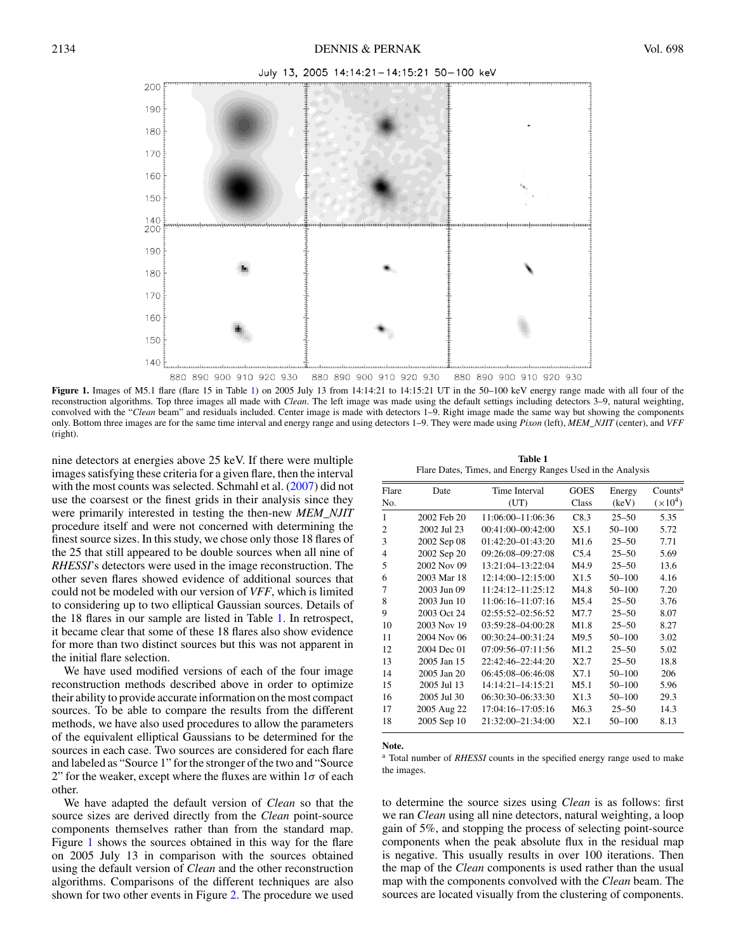<span id="page-3-0"></span>

Figure 1. Images of M5.1 flare (flare 15 in Table 1) on 2005 July 13 from 14:14:21 to 14:15:21 UT in the 50-100 keV energy range made with all four of the reconstruction algorithms. Top three images all made with *Clean*. The left image was made using the default settings including detectors 3–9, natural weighting, convolved with the "*Clean* beam" and residuals included. Center image is made with detectors 1–9. Right image made the same way but showing the components only. Bottom three images are for the same time interval and energy range and using detectors 1–9. They were made using *Pixon* (left), *MEM\_NJIT* (center), and *VFF* (right).

nine detectors at energies above 25 keV. If there were multiple images satisfying these criteria for a given flare, then the interval with the most counts was selected. Schmahl et al. [\(2007\)](#page-12-0) did not use the coarsest or the finest grids in their analysis since they were primarily interested in testing the then-new *MEM\_NJIT* procedure itself and were not concerned with determining the finest source sizes. In this study, we chose only those 18 flares of the 25 that still appeared to be double sources when all nine of *RHESSI*'s detectors were used in the image reconstruction. The other seven flares showed evidence of additional sources that could not be modeled with our version of *VFF*, which is limited to considering up to two elliptical Gaussian sources. Details of the 18 flares in our sample are listed in Table 1. In retrospect, it became clear that some of these 18 flares also show evidence for more than two distinct sources but this was not apparent in the initial flare selection.

We have used modified versions of each of the four image reconstruction methods described above in order to optimize their ability to provide accurate information on the most compact sources. To be able to compare the results from the different methods, we have also used procedures to allow the parameters of the equivalent elliptical Gaussians to be determined for the sources in each case. Two sources are considered for each flare and labeled as "Source 1" for the stronger of the two and "Source 2" for the weaker, except where the fluxes are within  $1\sigma$  of each other.

We have adapted the default version of *Clean* so that the source sizes are derived directly from the *Clean* point-source components themselves rather than from the standard map. Figure 1 shows the sources obtained in this way for the flare on 2005 July 13 in comparison with the sources obtained using the default version of *Clean* and the other reconstruction algorithms. Comparisons of the different techniques are also shown for two other events in Figure [2.](#page-4-0) The procedure we used

| Table 1                                                    |  |  |  |  |  |  |
|------------------------------------------------------------|--|--|--|--|--|--|
| Flare Dates, Times, and Energy Ranges Used in the Analysis |  |  |  |  |  |  |

| Flare          | Date        | Time Interval         | <b>GOES</b>      | Energy    | Counts <sup>a</sup> |
|----------------|-------------|-----------------------|------------------|-----------|---------------------|
| No.            |             | (UT)                  | Class            | (keV)     | $(\times 10^4)$     |
| 1              | 2002 Feb 20 | 11:06:00-11:06:36     | C8.3             | $25 - 50$ | 5.35                |
| 2              | 2002 Jul 23 | 00:41:00-00:42:00     | X5.1             | 50-100    | 5.72                |
| 3              | 2002 Sep 08 | $01:42:20-01:43:20$   | M <sub>1.6</sub> | $25 - 50$ | 7.71                |
| $\overline{4}$ | 2002 Sep 20 | 09:26:08-09:27:08     | C5.4             | $25 - 50$ | 5.69                |
| 5              | 2002 Nov 09 | 13:21:04-13:22:04     | M4.9             | $25 - 50$ | 13.6                |
| 6              | 2003 Mar 18 | 12:14:00-12:15:00     | X1.5             | 50-100    | 4.16                |
| 7              | 2003 Jun 09 | 11:24:12-11:25:12     | M4.8             | 50-100    | 7.20                |
| 8              | 2003 Jun 10 | 11:06:16-11:07:16     | M <sub>5.4</sub> | $25 - 50$ | 3.76                |
| 9              | 2003 Oct 24 | $02:55:52 - 02:56:52$ | M7.7             | $25 - 50$ | 8.07                |
| 10             | 2003 Nov 19 | 03:59:28-04:00:28     | M1.8             | $25 - 50$ | 8.27                |
| 11             | 2004 Nov 06 | 00:30:24-00:31:24     | M9.5             | 50-100    | 3.02                |
| 12             | 2004 Dec 01 | 07:09:56-07:11:56     | M1.2             | $25 - 50$ | 5.02                |
| 13             | 2005 Jan 15 | 22:42:46-22:44:20     | X2.7             | $25 - 50$ | 18.8                |
| 14             | 2005 Jan 20 | 06:45:08-06:46:08     | X7.1             | 50-100    | 206                 |
| 15             | 2005 Jul 13 | 14:14:21-14:15:21     | M5.1             | 50-100    | 5.96                |
| 16             | 2005 Jul 30 | 06:30:30-06:33:30     | X1.3             | 50-100    | 29.3                |
| 17             | 2005 Aug 22 | 17:04:16-17:05:16     | M <sub>6.3</sub> | $25 - 50$ | 14.3                |
| 18             | 2005 Sep 10 | 21:32:00-21:34:00     | X2.1             | 50-100    | 8.13                |

**Note.**

<sup>a</sup> Total number of *RHESSI* counts in the specified energy range used to make the images.

to determine the source sizes using *Clean* is as follows: first we ran *Clean* using all nine detectors, natural weighting, a loop gain of 5%, and stopping the process of selecting point-source components when the peak absolute flux in the residual map is negative. This usually results in over 100 iterations. Then the map of the *Clean* components is used rather than the usual map with the components convolved with the *Clean* beam. The sources are located visually from the clustering of components.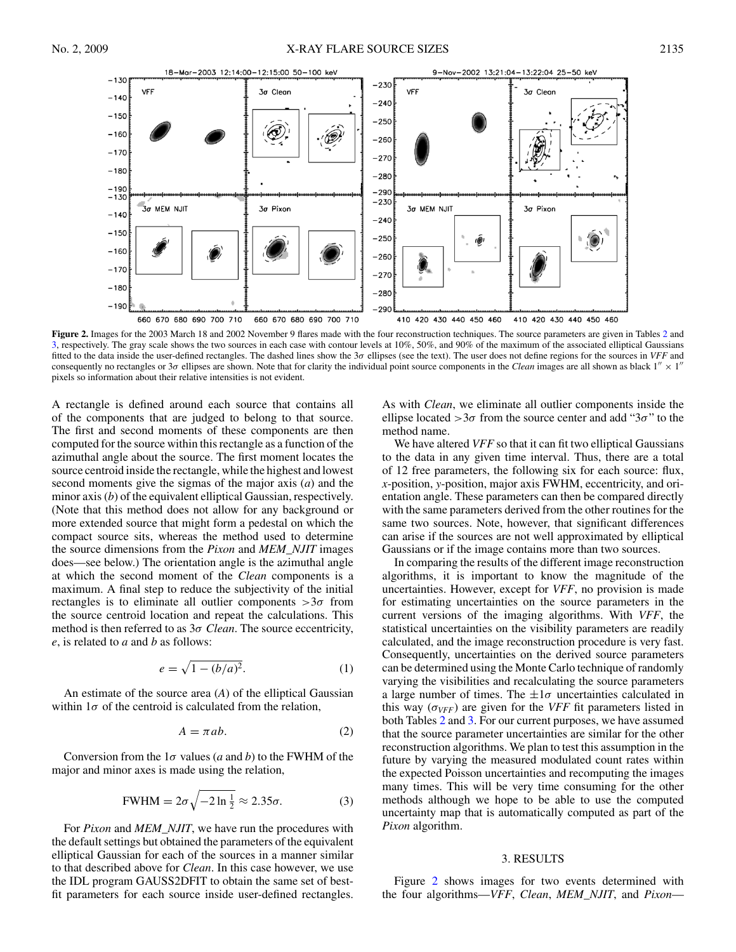<span id="page-4-0"></span>

**Figure 2.** Images for the 2003 March 18 and 2002 November 9 flares made with the four reconstruction techniques. The source parameters are given in Tables [2](#page-5-0) and [3,](#page-5-0) respectively. The gray scale shows the two sources in each case with contour levels at 10%, 50%, and 90% of the maximum of the associated elliptical Gaussians fitted to the data inside the user-defined rectangles. The dashed lines show the 3*σ* ellipses (see the text). The user does not define regions for the sources in *VFF* and consequently no rectangles or  $3\sigma$  ellipses are shown. Note that for clarity the individual point source components in the *Clean* images are all shown as black  $1'' \times 1''$ pixels so information about their relative intensities is not evident.

A rectangle is defined around each source that contains all of the components that are judged to belong to that source. The first and second moments of these components are then computed for the source within this rectangle as a function of the azimuthal angle about the source. The first moment locates the source centroid inside the rectangle, while the highest and lowest second moments give the sigmas of the major axis (*a*) and the minor axis (*b*) of the equivalent elliptical Gaussian, respectively. (Note that this method does not allow for any background or more extended source that might form a pedestal on which the compact source sits, whereas the method used to determine the source dimensions from the *Pixon* and *MEM\_NJIT* images does—see below.) The orientation angle is the azimuthal angle at which the second moment of the *Clean* components is a maximum. A final step to reduce the subjectivity of the initial rectangles is to eliminate all outlier components  $>3\sigma$  from the source centroid location and repeat the calculations. This method is then referred to as 3*σ Clean*. The source eccentricity, *e*, is related to *a* and *b* as follows:

$$
e = \sqrt{1 - (b/a)^2}.\tag{1}
$$

An estimate of the source area (*A*) of the elliptical Gaussian within  $1\sigma$  of the centroid is calculated from the relation,

$$
A = \pi ab. \tag{2}
$$

Conversion from the 1*σ* values (*a* and *b*) to the FWHM of the major and minor axes is made using the relation,

$$
\text{FWHM} = 2\sigma \sqrt{-2 \ln \frac{1}{2}} \approx 2.35\sigma. \tag{3}
$$

For *Pixon* and *MEM\_NJIT*, we have run the procedures with the default settings but obtained the parameters of the equivalent elliptical Gaussian for each of the sources in a manner similar to that described above for *Clean*. In this case however, we use the IDL program GAUSS2DFIT to obtain the same set of bestfit parameters for each source inside user-defined rectangles.

As with *Clean*, we eliminate all outlier components inside the ellipse located  $>3\sigma$  from the source center and add "3 $\sigma$ " to the method name.

We have altered *VFF* so that it can fit two elliptical Gaussians to the data in any given time interval. Thus, there are a total of 12 free parameters, the following six for each source: flux, *x*-position, *y*-position, major axis FWHM, eccentricity, and orientation angle. These parameters can then be compared directly with the same parameters derived from the other routines for the same two sources. Note, however, that significant differences can arise if the sources are not well approximated by elliptical Gaussians or if the image contains more than two sources.

In comparing the results of the different image reconstruction algorithms, it is important to know the magnitude of the uncertainties. However, except for *VFF*, no provision is made for estimating uncertainties on the source parameters in the current versions of the imaging algorithms. With *VFF*, the statistical uncertainties on the visibility parameters are readily calculated, and the image reconstruction procedure is very fast. Consequently, uncertainties on the derived source parameters can be determined using the Monte Carlo technique of randomly varying the visibilities and recalculating the source parameters a large number of times. The  $\pm 1\sigma$  uncertainties calculated in this way  $(\sigma_{VFF})$  are given for the *VFF* fit parameters listed in both Tables [2](#page-5-0) and [3.](#page-5-0) For our current purposes, we have assumed that the source parameter uncertainties are similar for the other reconstruction algorithms. We plan to test this assumption in the future by varying the measured modulated count rates within the expected Poisson uncertainties and recomputing the images many times. This will be very time consuming for the other methods although we hope to be able to use the computed uncertainty map that is automatically computed as part of the *Pixon* algorithm.

#### 3. RESULTS

Figure 2 shows images for two events determined with the four algorithms—*VFF*, *Clean*, *MEM\_NJIT*, and *Pixon*—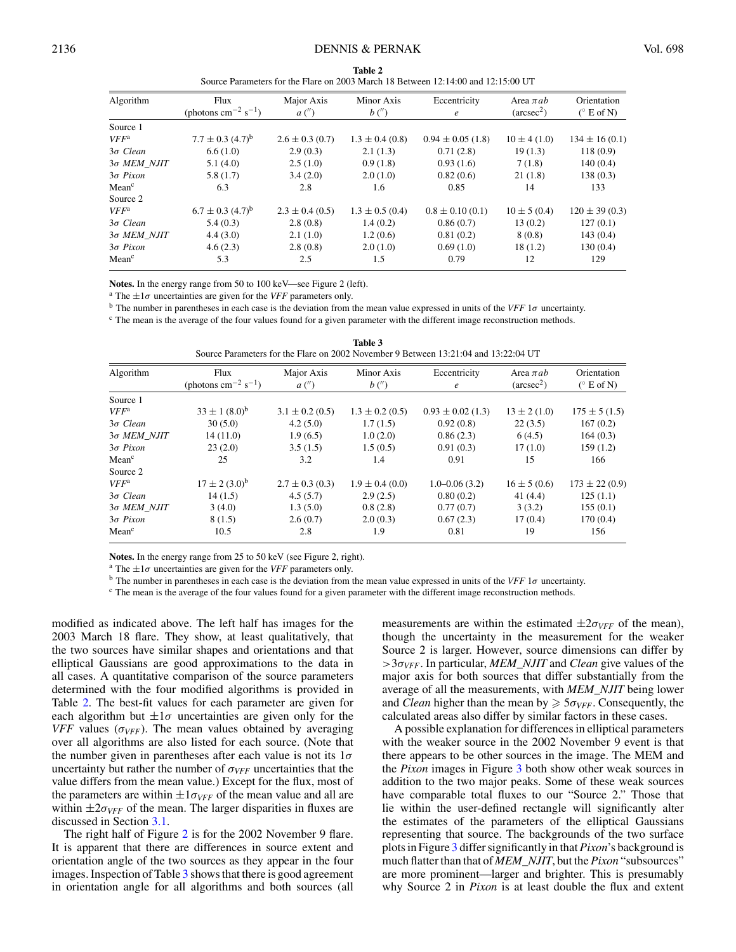<span id="page-5-0"></span>

| Source Farameters for the Francish 2005 March to Detween 12.14.00 and 12.15.00 OT |                                                    |                     |                     |                            |                                      |                                    |  |
|-----------------------------------------------------------------------------------|----------------------------------------------------|---------------------|---------------------|----------------------------|--------------------------------------|------------------------------------|--|
| Algorithm                                                                         | Flux<br>(photons $\text{cm}^{-2} \text{ s}^{-1}$ ) | Major Axis<br>a'    | Minor Axis<br>b''   | Eccentricity<br>$\epsilon$ | Area $\pi ab$<br>$(\text{arcsec}^2)$ | Orientation<br>$(^{\circ}$ E of N) |  |
| Source 1                                                                          |                                                    |                     |                     |                            |                                      |                                    |  |
| $VFF^a$                                                                           | $7.7 \pm 0.3$ (4.7) <sup>b</sup>                   | $2.6 \pm 0.3$ (0.7) | $1.3 \pm 0.4$ (0.8) | $0.94 \pm 0.05$ (1.8)      | $10 \pm 4(1.0)$                      | $134 \pm 16(0.1)$                  |  |
| $3\sigma$ Clean                                                                   | 6.6(1.0)                                           | 2.9(0.3)            | 2.1(1.3)            | 0.71(2.8)                  | 19(1.3)                              | 118(0.9)                           |  |
| 30 MEM NJIT                                                                       | 5.1(4.0)                                           | 2.5(1.0)            | 0.9(1.8)            | 0.93(1.6)                  | 7(1.8)                               | 140(0.4)                           |  |
| $3\sigma$ Pixon                                                                   | 5.8(1.7)                                           | 3.4(2.0)            | 2.0(1.0)            | 0.82(0.6)                  | 21(1.8)                              | 138(0.3)                           |  |
| Mean <sup>c</sup>                                                                 | 6.3                                                | 2.8                 | 1.6                 | 0.85                       | 14                                   | 133                                |  |
| Source 2                                                                          |                                                    |                     |                     |                            |                                      |                                    |  |
| $VFF^a$                                                                           | $6.7 \pm 0.3$ $(4.7)^b$                            | $2.3 \pm 0.4$ (0.5) | $1.3 \pm 0.5$ (0.4) | $0.8 \pm 0.10(0.1)$        | $10 \pm 5(0.4)$                      | $120 \pm 39(0.3)$                  |  |
| $3\sigma$ Clean                                                                   | 5.4(0.3)                                           | 2.8(0.8)            | 1.4(0.2)            | 0.86(0.7)                  | 13(0.2)                              | 127(0.1)                           |  |
| 30 MEM NJIT                                                                       | 4.4(3.0)                                           | 2.1(1.0)            | 1.2(0.6)            | 0.81(0.2)                  | 8(0.8)                               | 143(0.4)                           |  |
| $3\sigma$ Pixon                                                                   | 4.6(2.3)                                           | 2.8(0.8)            | 2.0(1.0)            | 0.69(1.0)                  | 18(1.2)                              | 130(0.4)                           |  |
| Mean <sup>c</sup>                                                                 | 5.3                                                | 2.5                 | 1.5                 | 0.79                       | 12                                   | 129                                |  |

**Table 2**  $\frac{1}{2}$  Source Parameters for the Flare on 2003 March 18 Between 12:14:00 and 12:15:00 UT

**Notes.** In the energy range from 50 to 100 keV—see Figure 2 (left). <br><sup>a</sup> The  $\pm 1\sigma$  uncertainties are given for the *VFF* parameters only.

<sup>b</sup> The number in parentheses in each case is the deviation from the mean value expressed in units of the *VFF* 1*σ* uncertainty.

<sup>c</sup> The mean is the average of the four values found for a given parameter with the different image reconstruction methods.

| Algorithm          | Flux                                        | Major Axis          | Minor Axis          | Eccentricity          | Area $\pi ab$       | Orientation       |
|--------------------|---------------------------------------------|---------------------|---------------------|-----------------------|---------------------|-------------------|
|                    | (photons cm <sup>-2</sup> s <sup>-1</sup> ) | a'                  | b''                 | $\epsilon$            | $(\text{arcsec}^2)$ | $(^\circ$ E of N) |
| Source 1           |                                             |                     |                     |                       |                     |                   |
| $VFF^a$            | $33 \pm 1 (8.0)^b$                          | $3.1 \pm 0.2$ (0.5) | $1.3 \pm 0.2$ (0.5) | $0.93 \pm 0.02$ (1.3) | $13 \pm 2(1.0)$     | $175 \pm 5(1.5)$  |
| $3\sigma$ Clean    | 30(5.0)                                     | 4.2(5.0)            | 1.7(1.5)            | 0.92(0.8)             | 22(3.5)             | 167(0.2)          |
| $3\sigma$ MEM NJIT | 14(11.0)                                    | 1.9(6.5)            | 1.0(2.0)            | 0.86(2.3)             | 6(4.5)              | 164(0.3)          |
| $3\sigma$ Pixon    | 23(2.0)                                     | 3.5(1.5)            | 1.5(0.5)            | 0.91(0.3)             | 17(1.0)             | 159(1.2)          |
| Mean <sup>c</sup>  | 25                                          | 3.2                 | 1.4                 | 0.91                  | 15                  | 166               |
| Source 2           |                                             |                     |                     |                       |                     |                   |
| $VFF^a$            | $17 \pm 2 (3.0)^b$                          | $2.7 \pm 0.3$ (0.3) | $1.9 \pm 0.4$ (0.0) | $1.0 - 0.06(3.2)$     | $16 \pm 5(0.6)$     | $173 \pm 22(0.9)$ |
| $3\sigma$ Clean    | 14(1.5)                                     | 4.5(5.7)            | 2.9(2.5)            | 0.80(0.2)             | 41(4.4)             | 125(1.1)          |
| $3\sigma$ MEM NJIT | 3(4.0)                                      | 1.3(5.0)            | 0.8(2.8)            | 0.77(0.7)             | 3(3.2)              | 155(0.1)          |
| $3\sigma$ Pixon    | 8(1.5)                                      | 2.6(0.7)            | 2.0(0.3)            | 0.67(2.3)             | 17(0.4)             | 170(0.4)          |
| Mean <sup>c</sup>  | 10.5                                        | 2.8                 | 1.9                 | 0.81                  | 19                  | 156               |

**Table 3** Source Parameters for the Flare on 2002 November 9 Between 13:21:04 and 13:22:04 UT

**Notes.** In the energy range from 25 to 50 keV (see Figure 2, right).

<sup>a</sup> The  $\pm 1\sigma$  uncertainties are given for the *VFF* parameters only.<br><sup>b</sup> The number in parentheses in each case is the deviation from the mean value expressed in units of the *VFF* 1*σ* uncertainty.

<sup>c</sup> The mean is the average of the four values found for a given parameter with the different image reconstruction methods.

modified as indicated above. The left half has images for the 2003 March 18 flare. They show, at least qualitatively, that the two sources have similar shapes and orientations and that elliptical Gaussians are good approximations to the data in all cases. A quantitative comparison of the source parameters determined with the four modified algorithms is provided in Table 2. The best-fit values for each parameter are given for each algorithm but  $\pm 1\sigma$  uncertainties are given only for the *VFF* values ( $\sigma_{VFF}$ ). The mean values obtained by averaging over all algorithms are also listed for each source. (Note that the number given in parentheses after each value is not its 1*σ* uncertainty but rather the number of  $\sigma_{VFF}$  uncertainties that the value differs from the mean value.) Except for the flux, most of the parameters are within  $\pm 1\sigma_{VFF}$  of the mean value and all are within  $\pm 2\sigma_{VFF}$  of the mean. The larger disparities in fluxes are discussed in Section [3.1.](#page-6-0)

The right half of Figure [2](#page-4-0) is for the 2002 November 9 flare. It is apparent that there are differences in source extent and orientation angle of the two sources as they appear in the four images. Inspection of Table 3 shows that there is good agreement in orientation angle for all algorithms and both sources (all measurements are within the estimated  $\pm 2\sigma_{VFF}$  of the mean), though the uncertainty in the measurement for the weaker Source 2 is larger. However, source dimensions can differ by *>*3*σVFF*. In particular, *MEM\_NJIT* and *Clean* give values of the major axis for both sources that differ substantially from the average of all the measurements, with *MEM\_NJIT* being lower and *Clean* higher than the mean by  $\geq 5\sigma_{VFF}$ . Consequently, the calculated areas also differ by similar factors in these cases.

A possible explanation for differences in elliptical parameters with the weaker source in the 2002 November 9 event is that there appears to be other sources in the image. The MEM and the *Pixon* images in Figure [3](#page-6-0) both show other weak sources in addition to the two major peaks. Some of these weak sources have comparable total fluxes to our "Source 2." Those that lie within the user-defined rectangle will significantly alter the estimates of the parameters of the elliptical Gaussians representing that source. The backgrounds of the two surface plots in Figure [3](#page-6-0) differ significantly in that *Pixon*'s background is much flatter than that of *MEM\_NJIT*, but the *Pixon* "subsources" are more prominent—larger and brighter. This is presumably why Source 2 in *Pixon* is at least double the flux and extent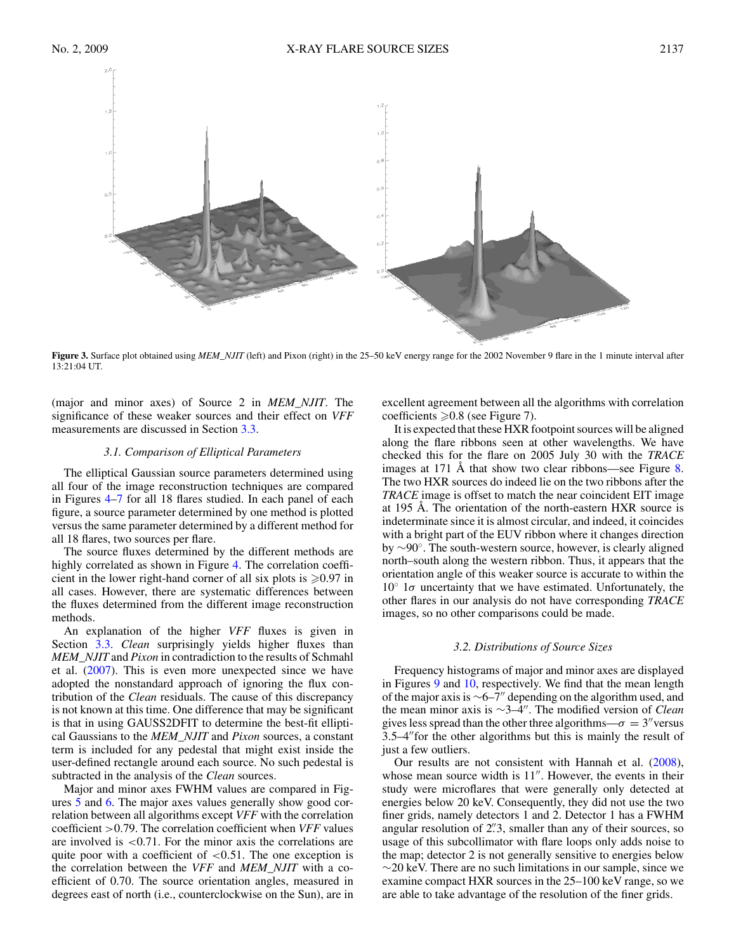<span id="page-6-0"></span>

**Figure 3.** Surface plot obtained using *MEM\_NJIT* (left) and Pixon (right) in the 25–50 keV energy range for the 2002 November 9 flare in the 1 minute interval after 13:21:04 UT.

(major and minor axes) of Source 2 in *MEM\_NJIT*. The significance of these weaker sources and their effect on *VFF* measurements are discussed in Section [3.3.](#page-7-0)

# *3.1. Comparison of Elliptical Parameters*

The elliptical Gaussian source parameters determined using all four of the image reconstruction techniques are compared in Figures [4](#page-7-0)[–7](#page-8-0) for all 18 flares studied. In each panel of each figure, a source parameter determined by one method is plotted versus the same parameter determined by a different method for all 18 flares, two sources per flare.

The source fluxes determined by the different methods are highly correlated as shown in Figure [4.](#page-7-0) The correlation coefficient in the lower right-hand corner of all six plots is  $\geq 0.97$  in all cases. However, there are systematic differences between the fluxes determined from the different image reconstruction methods.

An explanation of the higher *VFF* fluxes is given in Section [3.3.](#page-7-0) *Clean* surprisingly yields higher fluxes than *MEM\_NJIT* and *Pixon* in contradiction to the results of Schmahl et al. [\(2007\)](#page-12-0). This is even more unexpected since we have adopted the nonstandard approach of ignoring the flux contribution of the *Clean* residuals. The cause of this discrepancy is not known at this time. One difference that may be significant is that in using GAUSS2DFIT to determine the best-fit elliptical Gaussians to the *MEM\_NJIT* and *Pixon* sources, a constant term is included for any pedestal that might exist inside the user-defined rectangle around each source. No such pedestal is subtracted in the analysis of the *Clean* sources.

Major and minor axes FWHM values are compared in Figures [5](#page-7-0) and [6.](#page-8-0) The major axes values generally show good correlation between all algorithms except *VFF* with the correlation coefficient *>*0.79. The correlation coefficient when *VFF* values are involved is *<*0.71. For the minor axis the correlations are quite poor with a coefficient of *<*0*.*51. The one exception is the correlation between the *VFF* and *MEM\_NJIT* with a coefficient of 0.70. The source orientation angles, measured in degrees east of north (i.e., counterclockwise on the Sun), are in

excellent agreement between all the algorithms with correlation coefficients  $\geq 0.8$  (see Figure 7).

It is expected that these HXR footpoint sources will be aligned along the flare ribbons seen at other wavelengths. We have checked this for the flare on 2005 July 30 with the *TRACE* images at 171 Å that show two clear ribbons—see Figure [8.](#page-9-0) The two HXR sources do indeed lie on the two ribbons after the *TRACE* image is offset to match the near coincident EIT image at 195 Å. The orientation of the north-eastern HXR source is indeterminate since it is almost circular, and indeed, it coincides with a bright part of the EUV ribbon where it changes direction by ∼90◦. The south-western source, however, is clearly aligned north–south along the western ribbon. Thus, it appears that the orientation angle of this weaker source is accurate to within the  $10° 1 $\sigma$  uncertainty that we have estimated. Unfortunately, the$ other flares in our analysis do not have corresponding *TRACE* images, so no other comparisons could be made.

### *3.2. Distributions of Source Sizes*

Frequency histograms of major and minor axes are displayed in Figures [9](#page-9-0) and [10,](#page-10-0) respectively. We find that the mean length of the major axis is ∼6–7 depending on the algorithm used, and the mean minor axis is ∼3–4. The modified version of *Clean* gives less spread than the other three algorithms— $\sigma = 3''$  versus  $3.5-4$ " for the other algorithms but this is mainly the result of just a few outliers.

Our results are not consistent with Hannah et al. [\(2008\)](#page-11-0), whose mean source width is  $11$ ". However, the events in their study were microflares that were generally only detected at energies below 20 keV. Consequently, they did not use the two finer grids, namely detectors 1 and 2. Detector 1 has a FWHM angular resolution of 2*.* 3, smaller than any of their sources, so usage of this subcollimator with flare loops only adds noise to the map; detector 2 is not generally sensitive to energies below  $\sim$ 20 keV. There are no such limitations in our sample, since we examine compact HXR sources in the 25–100 keV range, so we are able to take advantage of the resolution of the finer grids.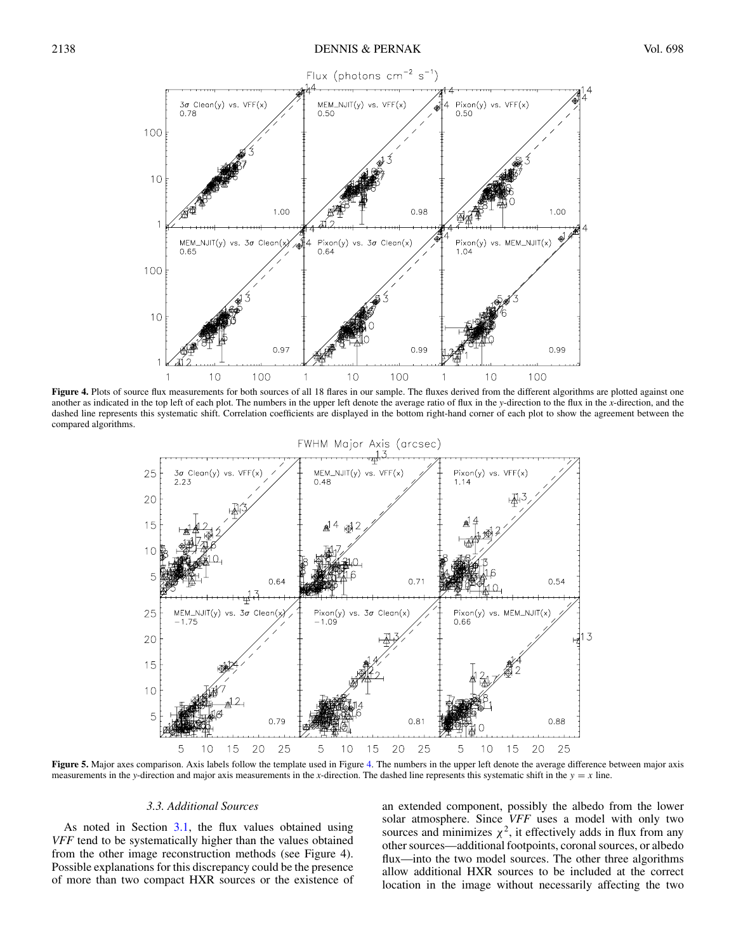<span id="page-7-0"></span>

Figure 4. Plots of source flux measurements for both sources of all 18 flares in our sample. The fluxes derived from the different algorithms are plotted against one another as indicated in the top left of each plot. The numbers in the upper left denote the average ratio of flux in the *y*-direction to the flux in the *x*-direction, and the dashed line represents this systematic shift. Correlation coefficients are displayed in the bottom right-hand corner of each plot to show the agreement between the compared algorithms.



Figure 5. Major axes comparison. Axis labels follow the template used in Figure 4. The numbers in the upper left denote the average difference between major axis measurements in the *y*-direction and major axis measurements in the *x*-direction. The dashed line represents this systematic shift in the  $y = x$  line.

### *3.3. Additional Sources*

As noted in Section [3.1,](#page-6-0) the flux values obtained using *VFF* tend to be systematically higher than the values obtained from the other image reconstruction methods (see Figure 4). Possible explanations for this discrepancy could be the presence of more than two compact HXR sources or the existence of an extended component, possibly the albedo from the lower solar atmosphere. Since *VFF* uses a model with only two sources and minimizes  $\chi^2$ , it effectively adds in flux from any other sources—additional footpoints, coronal sources, or albedo flux—into the two model sources. The other three algorithms allow additional HXR sources to be included at the correct location in the image without necessarily affecting the two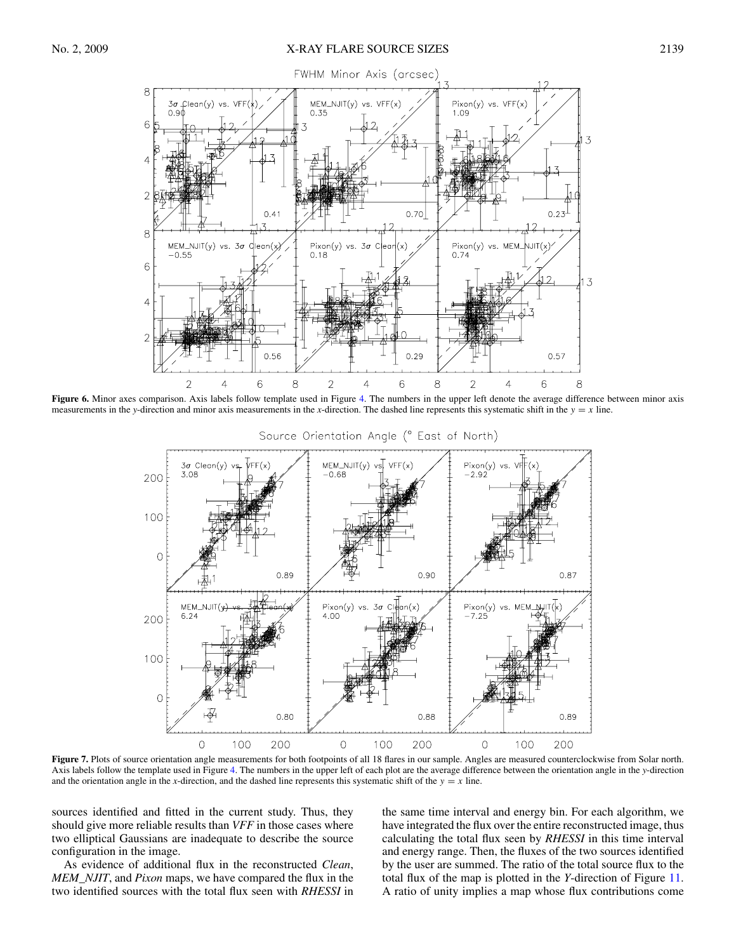<span id="page-8-0"></span>

**Figure 6.** Minor axes comparison. Axis labels follow template used in Figure [4.](#page-7-0) The numbers in the upper left denote the average difference between minor axis measurements in the *y*-direction and minor axis measurements in the *x*-direction. The dashed line represents this systematic shift in the  $y = x$  line.



Figure 7. Plots of source orientation angle measurements for both footpoints of all 18 flares in our sample. Angles are measured counterclockwise from Solar north. Axis labels follow the template used in Figure [4.](#page-7-0) The numbers in the upper left of each plot are the average difference between the orientation angle in the *y*-direction and the orientation angle in the *x*-direction, and the dashed line represents this systematic shift of the  $y = x$  line.

sources identified and fitted in the current study. Thus, they should give more reliable results than *VFF* in those cases where two elliptical Gaussians are inadequate to describe the source configuration in the image.

As evidence of additional flux in the reconstructed *Clean*, *MEM\_NJIT*, and *Pixon* maps, we have compared the flux in the two identified sources with the total flux seen with *RHESSI* in

the same time interval and energy bin. For each algorithm, we have integrated the flux over the entire reconstructed image, thus calculating the total flux seen by *RHESSI* in this time interval and energy range. Then, the fluxes of the two sources identified by the user are summed. The ratio of the total source flux to the total flux of the map is plotted in the *Y*-direction of Figure [11.](#page-10-0) A ratio of unity implies a map whose flux contributions come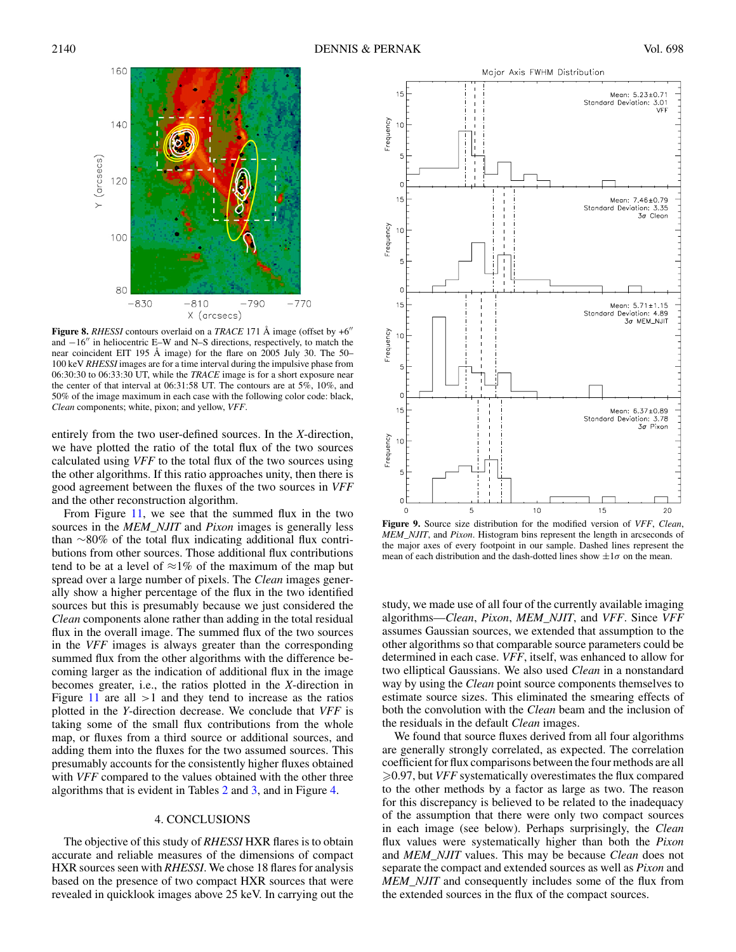<span id="page-9-0"></span>

**Figure 8.** *RHESSI* contours overlaid on a *TRACE* 171 Å image (offset by  $+6$ <sup>"</sup>) and −16" in heliocentric E–W and N–S directions, respectively, to match the near coincident EIT 195 Å image) for the flare on 2005 July 30. The 50– 100 keV *RHESSI* images are for a time interval during the impulsive phase from 06:30:30 to 06:33:30 UT, while the *TRACE* image is for a short exposure near the center of that interval at 06:31:58 UT. The contours are at 5%, 10%, and 50% of the image maximum in each case with the following color code: black, *Clean* components; white, pixon; and yellow, *VFF*.

entirely from the two user-defined sources. In the *X*-direction, we have plotted the ratio of the total flux of the two sources calculated using *VFF* to the total flux of the two sources using the other algorithms. If this ratio approaches unity, then there is good agreement between the fluxes of the two sources in *VFF* and the other reconstruction algorithm.

From Figure [11,](#page-10-0) we see that the summed flux in the two sources in the *MEM\_NJIT* and *Pixon* images is generally less than ∼80% of the total flux indicating additional flux contributions from other sources. Those additional flux contributions tend to be at a level of  $\approx$ 1% of the maximum of the map but spread over a large number of pixels. The *Clean* images generally show a higher percentage of the flux in the two identified sources but this is presumably because we just considered the *Clean* components alone rather than adding in the total residual flux in the overall image. The summed flux of the two sources in the *VFF* images is always greater than the corresponding summed flux from the other algorithms with the difference becoming larger as the indication of additional flux in the image becomes greater, i.e., the ratios plotted in the *X*-direction in Figure [11](#page-10-0) are all *>*1 and they tend to increase as the ratios plotted in the *Y*-direction decrease. We conclude that *VFF* is taking some of the small flux contributions from the whole map, or fluxes from a third source or additional sources, and adding them into the fluxes for the two assumed sources. This presumably accounts for the consistently higher fluxes obtained with *VFF* compared to the values obtained with the other three algorithms that is evident in Tables [2](#page-5-0) and [3,](#page-5-0) and in Figure [4.](#page-7-0)

# 4. CONCLUSIONS

The objective of this study of *RHESSI* HXR flares is to obtain accurate and reliable measures of the dimensions of compact HXR sources seen with *RHESSI*. We chose 18 flares for analysis based on the presence of two compact HXR sources that were revealed in quicklook images above 25 keV. In carrying out the



**Figure 9.** Source size distribution for the modified version of *VFF*, *Clean*, *MEM\_NJIT*, and *Pixon*. Histogram bins represent the length in arcseconds of the major axes of every footpoint in our sample. Dashed lines represent the mean of each distribution and the dash-dotted lines show  $\pm 1\sigma$  on the mean.

study, we made use of all four of the currently available imaging algorithms—*Clean*, *Pixon*, *MEM\_NJIT*, and *VFF*. Since *VFF* assumes Gaussian sources, we extended that assumption to the other algorithms so that comparable source parameters could be determined in each case. *VFF*, itself, was enhanced to allow for two elliptical Gaussians. We also used *Clean* in a nonstandard way by using the *Clean* point source components themselves to estimate source sizes. This eliminated the smearing effects of both the convolution with the *Clean* beam and the inclusion of the residuals in the default *Clean* images.

We found that source fluxes derived from all four algorithms are generally strongly correlated, as expected. The correlation coefficient for flux comparisons between the four methods are all 0.97, but *VFF* systematically overestimates the flux compared to the other methods by a factor as large as two. The reason for this discrepancy is believed to be related to the inadequacy of the assumption that there were only two compact sources in each image (see below). Perhaps surprisingly, the *Clean* flux values were systematically higher than both the *Pixon* and *MEM\_NJIT* values. This may be because *Clean* does not separate the compact and extended sources as well as *Pixon* and *MEM\_NJIT* and consequently includes some of the flux from the extended sources in the flux of the compact sources.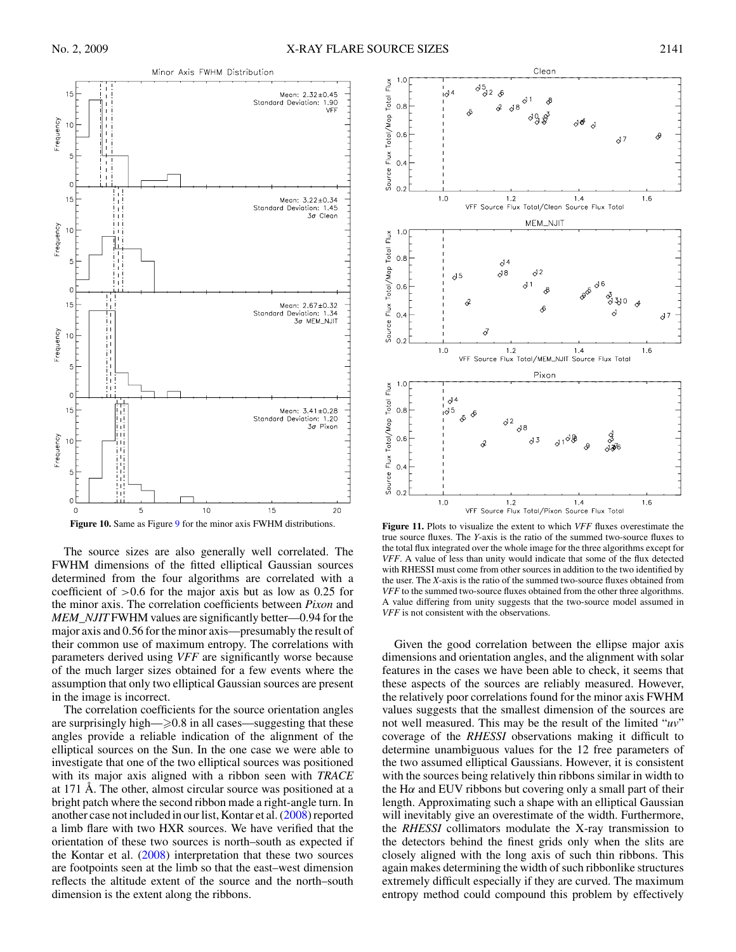<span id="page-10-0"></span>

The source sizes are also generally well correlated. The FWHM dimensions of the fitted elliptical Gaussian sources determined from the four algorithms are correlated with a coefficient of *>*0.6 for the major axis but as low as 0.25 for the minor axis. The correlation coefficients between *Pixon* and *MEM\_NJIT* FWHM values are significantly better—0.94 for the major axis and 0.56 for the minor axis—presumably the result of their common use of maximum entropy. The correlations with parameters derived using *VFF* are significantly worse because of the much larger sizes obtained for a few events where the assumption that only two elliptical Gaussian sources are present in the image is incorrect.

The correlation coefficients for the source orientation angles are surprisingly high— $\geqslant$ 0.8 in all cases—suggesting that these angles provide a reliable indication of the alignment of the elliptical sources on the Sun. In the one case we were able to investigate that one of the two elliptical sources was positioned with its major axis aligned with a ribbon seen with *TRACE* at 171 Å. The other, almost circular source was positioned at a bright patch where the second ribbon made a right-angle turn. In another case not included in our list, Kontar et al. [\(2008\)](#page-12-0) reported a limb flare with two HXR sources. We have verified that the orientation of these two sources is north–south as expected if the Kontar et al. [\(2008\)](#page-12-0) interpretation that these two sources are footpoints seen at the limb so that the east–west dimension reflects the altitude extent of the source and the north–south dimension is the extent along the ribbons.



**Figure 11.** Plots to visualize the extent to which *VFF* fluxes overestimate the true source fluxes. The *Y*-axis is the ratio of the summed two-source fluxes to the total flux integrated over the whole image for the three algorithms except for *VFF*. A value of less than unity would indicate that some of the flux detected with RHESSI must come from other sources in addition to the two identified by the user. The *X*-axis is the ratio of the summed two-source fluxes obtained from *VFF* to the summed two-source fluxes obtained from the other three algorithms. A value differing from unity suggests that the two-source model assumed in *VFF* is not consistent with the observations.

Given the good correlation between the ellipse major axis dimensions and orientation angles, and the alignment with solar features in the cases we have been able to check, it seems that these aspects of the sources are reliably measured. However, the relatively poor correlations found for the minor axis FWHM values suggests that the smallest dimension of the sources are not well measured. This may be the result of the limited "*uv*" coverage of the *RHESSI* observations making it difficult to determine unambiguous values for the 12 free parameters of the two assumed elliptical Gaussians. However, it is consistent with the sources being relatively thin ribbons similar in width to the H $\alpha$  and EUV ribbons but covering only a small part of their length. Approximating such a shape with an elliptical Gaussian will inevitably give an overestimate of the width. Furthermore, the *RHESSI* collimators modulate the X-ray transmission to the detectors behind the finest grids only when the slits are closely aligned with the long axis of such thin ribbons. This again makes determining the width of such ribbonlike structures extremely difficult especially if they are curved. The maximum entropy method could compound this problem by effectively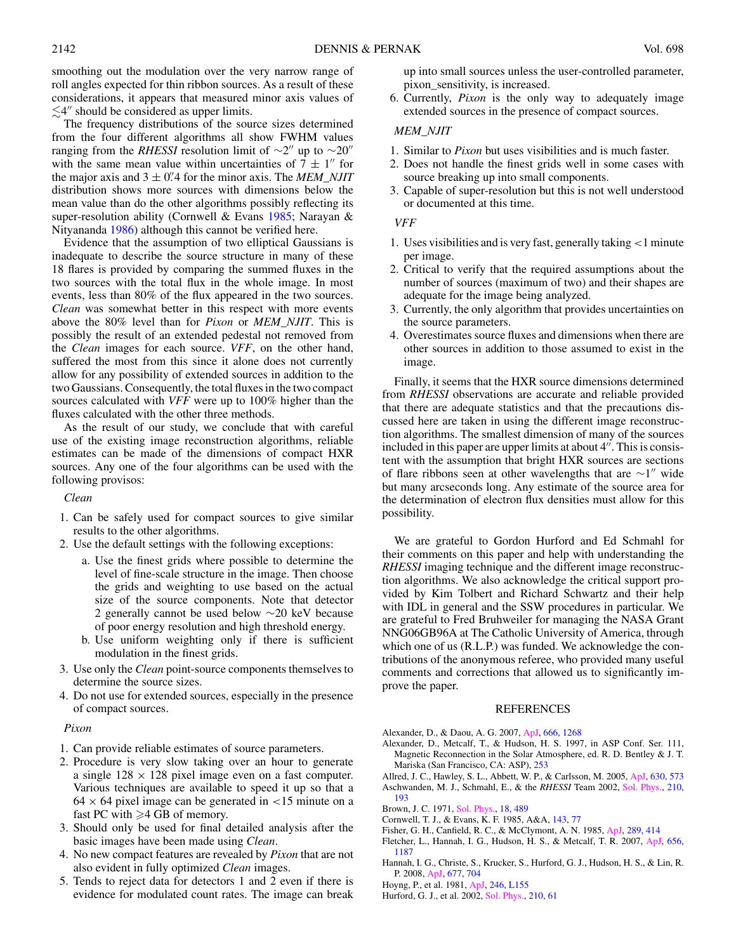<span id="page-11-0"></span>smoothing out the modulation over the very narrow range of roll angles expected for thin ribbon sources. As a result of these considerations, it appears that measured minor axis values of  $\lesssim$  4″ should be considered as upper limits.

The frequency distributions of the source sizes determined from the four different algorithms all show FWHM values ranging from the *RHESSI* resolution limit of  $\sim$ 2" up to  $\sim$ 20" with the same mean value within uncertainties of  $7 \pm 1$ " for the major axis and  $3 \pm 0$ <sup>2</sup>/4 for the minor axis. The *MEM\_NJIT* distribution shows more sources with dimensions below the mean value than do the other algorithms possibly reflecting its super-resolution ability (Cornwell & Evans 1985; Narayan & Nityananda [1986\)](#page-12-0) although this cannot be verified here.

Evidence that the assumption of two elliptical Gaussians is inadequate to describe the source structure in many of these 18 flares is provided by comparing the summed fluxes in the two sources with the total flux in the whole image. In most events, less than 80% of the flux appeared in the two sources. *Clean* was somewhat better in this respect with more events above the 80% level than for *Pixon* or *MEM\_NJIT*. This is possibly the result of an extended pedestal not removed from the *Clean* images for each source. *VFF*, on the other hand, suffered the most from this since it alone does not currently allow for any possibility of extended sources in addition to the two Gaussians. Consequently, the total fluxes in the two compact sources calculated with *VFF* were up to 100% higher than the fluxes calculated with the other three methods.

As the result of our study, we conclude that with careful use of the existing image reconstruction algorithms, reliable estimates can be made of the dimensions of compact HXR sources. Any one of the four algorithms can be used with the following provisos:

*Clean*

- 1. Can be safely used for compact sources to give similar results to the other algorithms.
- 2. Use the default settings with the following exceptions:
	- a. Use the finest grids where possible to determine the level of fine-scale structure in the image. Then choose the grids and weighting to use based on the actual size of the source components. Note that detector 2 generally cannot be used below ∼20 keV because of poor energy resolution and high threshold energy.
	- b. Use uniform weighting only if there is sufficient modulation in the finest grids.
- 3. Use only the *Clean* point-source components themselves to determine the source sizes.
- 4. Do not use for extended sources, especially in the presence of compact sources.

#### *Pixon*

- 1. Can provide reliable estimates of source parameters.
- 2. Procedure is very slow taking over an hour to generate a single  $128 \times 128$  pixel image even on a fast computer. Various techniques are available to speed it up so that a 64 × 64 pixel image can be generated in *<*15 minute on a fast PC with  $\geq 4$  GB of memory.
- 3. Should only be used for final detailed analysis after the basic images have been made using *Clean*.
- 4. No new compact features are revealed by *Pixon* that are not also evident in fully optimized *Clean* images.
- 5. Tends to reject data for detectors 1 and 2 even if there is evidence for modulated count rates. The image can break

up into small sources unless the user-controlled parameter, pixon\_sensitivity, is increased.

6. Currently, *Pixon* is the only way to adequately image extended sources in the presence of compact sources.

# *MEM\_NJIT*

- 1. Similar to *Pixon* but uses visibilities and is much faster.
- 2. Does not handle the finest grids well in some cases with source breaking up into small components.
- 3. Capable of super-resolution but this is not well understood or documented at this time.

#### *VFF*

- 1. Uses visibilities and is very fast, generally taking *<*1 minute per image.
- 2. Critical to verify that the required assumptions about the number of sources (maximum of two) and their shapes are adequate for the image being analyzed.
- 3. Currently, the only algorithm that provides uncertainties on the source parameters.
- 4. Overestimates source fluxes and dimensions when there are other sources in addition to those assumed to exist in the image.

Finally, it seems that the HXR source dimensions determined from *RHESSI* observations are accurate and reliable provided that there are adequate statistics and that the precautions discussed here are taken in using the different image reconstruction algorithms. The smallest dimension of many of the sources included in this paper are upper limits at about  $4''$ . This is consistent with the assumption that bright HXR sources are sections of flare ribbons seen at other wavelengths that are  $\sim$ 1" wide but many arcseconds long. Any estimate of the source area for the determination of electron flux densities must allow for this possibility.

We are grateful to Gordon Hurford and Ed Schmahl for their comments on this paper and help with understanding the *RHESSI* imaging technique and the different image reconstruction algorithms. We also acknowledge the critical support provided by Kim Tolbert and Richard Schwartz and their help with IDL in general and the SSW procedures in particular. We are grateful to Fred Bruhweiler for managing the NASA Grant NNG06GB96A at The Catholic University of America, through which one of us (R.L.P.) was funded. We acknowledge the contributions of the anonymous referee, who provided many useful comments and corrections that allowed us to significantly improve the paper.

#### REFERENCES

- Alexander, D., & Daou, A. G. 2007, [ApJ,](http://dx.doi.org/10.1086/520331) [666, 1268](http://adsabs.harvard.edu/cgi-bin/bib_query?2007ApJ...666.1268A)
- Alexander, D., Metcalf, T., & Hudson, H. S. 1997, in ASP Conf. Ser. 111, Magnetic Reconnection in the Solar Atmosphere, ed. R. D. Bentley & J. T. Mariska (San Francisco, CA: ASP), [253](http://adsabs.harvard.edu/cgi-bin/bib_query?1997ASPC..111..253A)
- Allred, J. C., Hawley, S. L., Abbett, W. P., & Carlsson, M. 2005, [ApJ,](http://dx.doi.org/10.1086/431751) [630, 573](http://adsabs.harvard.edu/cgi-bin/bib_query?2005ApJ...630..573A) Aschwanden, M. J., Schmahl, E., & the *RHESSI* Team 2002, [Sol. Phys.,](http://dx.doi.org/10.1023/A:1022469811115) [210,](http://adsabs.harvard.edu/cgi-bin/bib_query?2002SoPh..210..193A) [193](http://adsabs.harvard.edu/cgi-bin/bib_query?2002SoPh..210..193A)
- Brown, J. C. 1971, [Sol. Phys.,](http://dx.doi.org/10.1007/BF00149070) [18, 489](http://adsabs.harvard.edu/cgi-bin/bib_query?1971SoPh...18..489B)
- Cornwell, T. J., & Evans, K. F. 1985, A&A, [143, 77](http://adsabs.harvard.edu/cgi-bin/bib_query?1985A&A...143...77C)
- Fisher, G. H., Canfield, R. C., & McClymont, A. N. 1985, [ApJ,](http://dx.doi.org/10.1086/162901) [289, 414](http://adsabs.harvard.edu/cgi-bin/bib_query?1985ApJ...289..414F)
- Fletcher, L., Hannah, I. G., Hudson, H. S., & Metcalf, T. R. 2007, [ApJ,](http://dx.doi.org/10.1086/510446) [656,](http://adsabs.harvard.edu/cgi-bin/bib_query?2007ApJ...656.1187F) [1187](http://adsabs.harvard.edu/cgi-bin/bib_query?2007ApJ...656.1187F)
- Hannah, I. G., Christe, S., Krucker, S., Hurford, G. J., Hudson, H. S., & Lin, R. P. 2008, [ApJ,](http://dx.doi.org/10.1086/529012) [677, 704](http://adsabs.harvard.edu/cgi-bin/bib_query?2008ApJ...677..704H)
- Hoyng, P., et al. 1981, [ApJ,](http://dx.doi.org/10.1086/183574) [246, L155](http://adsabs.harvard.edu/cgi-bin/bib_query?1981ApJ...246L.155H)
- Hurford, G. J., et al. 2002, [Sol. Phys.,](http://dx.doi.org/10.1023/A:1022436213688) [210, 61](http://adsabs.harvard.edu/cgi-bin/bib_query?2002SoPh..210...61H)